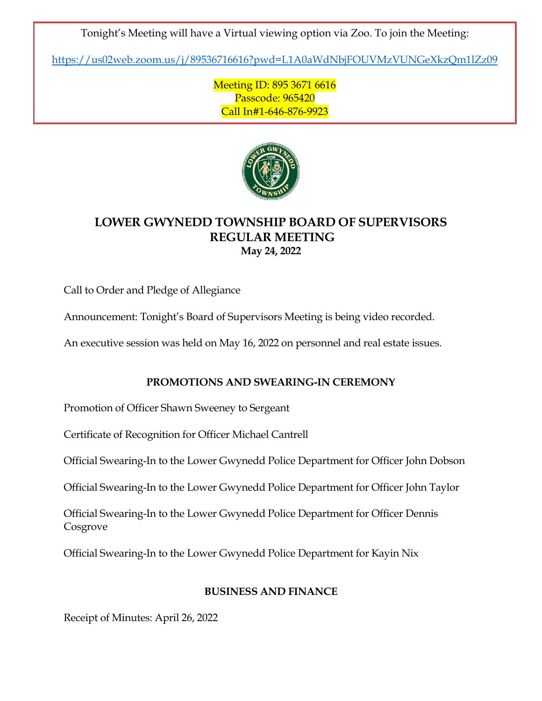Tonight's Meeting will have a Virtual viewing option via Zoo. To join the Meeting:

<https://us02web.zoom.us/j/89536716616?pwd=L1A0aWdNbjFOUVMzVUNGeXkzQm1lZz09>

Meeting ID: 895 3671 6616 Passcode: 965420 Call In#1-646-876-9923



# **LOWER GWYNEDD TOWNSHIP BOARD OF SUPERVISORS REGULAR MEETING May 24, 2022**

Call to Order and Pledge of Allegiance

Announcement: Tonight's Board of Supervisors Meeting is being video recorded.

An executive session was held on May 16, 2022 on personnel and real estate issues.

## **PROMOTIONS AND SWEARING-IN CEREMONY**

Promotion of Officer Shawn Sweeney to Sergeant

Certificate of Recognition for Officer Michael Cantrell

Official Swearing-In to the Lower Gwynedd Police Department for Officer John Dobson

Official Swearing-In to the Lower Gwynedd Police Department for Officer John Taylor

Official Swearing-In to the Lower Gwynedd Police Department for Officer Dennis Cosgrove

Official Swearing-In to the Lower Gwynedd Police Department for Kayin Nix

## **BUSINESS AND FINANCE**

Receipt of Minutes: April 26, 2022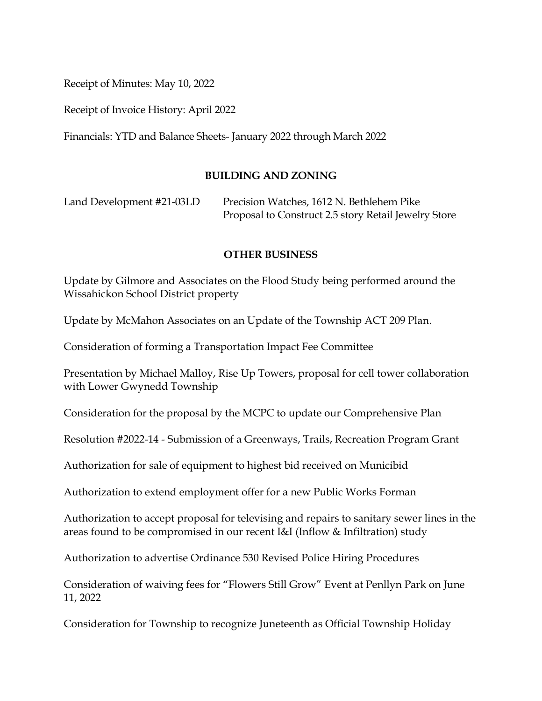Receipt of Minutes: May 10, 2022

Receipt of Invoice History: April 2022

Financials: YTD and Balance Sheets- January 2022 through March 2022

### **BUILDING AND ZONING**

Land Development #21-03LD Precision Watches, 1612 N. Bethlehem Pike Proposal to Construct 2.5 story Retail Jewelry Store

#### **OTHER BUSINESS**

Update by Gilmore and Associates on the Flood Study being performed around the Wissahickon School District property

Update by McMahon Associates on an Update of the Township ACT 209 Plan.

Consideration of forming a Transportation Impact Fee Committee

Presentation by Michael Malloy, Rise Up Towers, proposal for cell tower collaboration with Lower Gwynedd Township

Consideration for the proposal by the MCPC to update our Comprehensive Plan

Resolution #2022-14 - Submission of a Greenways, Trails, Recreation Program Grant

Authorization for sale of equipment to highest bid received on Municibid

Authorization to extend employment offer for a new Public Works Forman

Authorization to accept proposal for televising and repairs to sanitary sewer lines in the areas found to be compromised in our recent I&I (Inflow & Infiltration) study

Authorization to advertise Ordinance 530 Revised Police Hiring Procedures

Consideration of waiving fees for "Flowers Still Grow" Event at Penllyn Park on June 11, 2022

Consideration for Township to recognize Juneteenth as Official Township Holiday